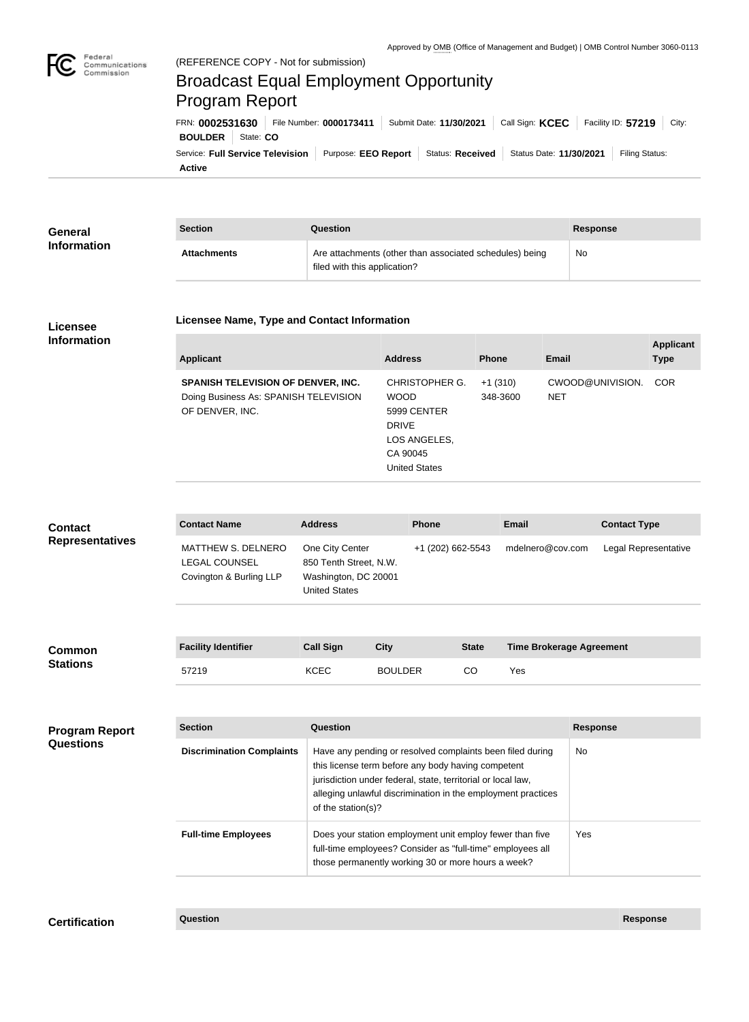

## Federal<br>Communications<br>Commission (REFERENCE COPY - Not for submission) Broadcast Equal Employment Opportunity Program ReportFRN: **0002531630** File Number: **0000173411** Submit Date: **11/30/2021** Call Sign: **KCEC** Facility ID: **57219** City: **BOULDER** State: CO Service: Full Service Television | Purpose: EEO Report | Status: Received | Status Date: 11/30/2021 | Filing Status: **Active**

| General            | <b>Section</b>     | Question                                                                                | <b>Response</b> |
|--------------------|--------------------|-----------------------------------------------------------------------------------------|-----------------|
| <b>Information</b> | <b>Attachments</b> | Are attachments (other than associated schedules) being<br>filed with this application? | No              |

## **Licensee Information**

## **Licensee Name, Type and Contact Information**

| <b>Applicant</b>                                                                                      | <b>Address</b>                                                                                            | <b>Phone</b>          | Email                          | <b>Applicant</b><br><b>Type</b> |
|-------------------------------------------------------------------------------------------------------|-----------------------------------------------------------------------------------------------------------|-----------------------|--------------------------------|---------------------------------|
| <b>SPANISH TELEVISION OF DENVER, INC.</b><br>Doing Business As: SPANISH TELEVISION<br>OF DENVER, INC. | CHRISTOPHER G.<br><b>WOOD</b><br>5999 CENTER<br><b>DRIVE</b><br>LOS ANGELES,<br>CA 90045<br>United States | $+1(310)$<br>348-3600 | CWOOD@UNIVISION.<br><b>NET</b> | <b>COR</b>                      |

| <b>Contact</b><br><b>Representatives</b> | <b>Contact Name</b>                                                   | <b>Address</b>                                                                                                                                                                                                                                                        | <b>Phone</b>                                                                                                                                                                 |                   | <b>Email</b>                    | <b>Contact Type</b>  |
|------------------------------------------|-----------------------------------------------------------------------|-----------------------------------------------------------------------------------------------------------------------------------------------------------------------------------------------------------------------------------------------------------------------|------------------------------------------------------------------------------------------------------------------------------------------------------------------------------|-------------------|---------------------------------|----------------------|
|                                          | MATTHEW S. DELNERO<br><b>LEGAL COUNSEL</b><br>Covington & Burling LLP | One City Center<br>850 Tenth Street, N.W.<br>Washington, DC 20001<br><b>United States</b>                                                                                                                                                                             |                                                                                                                                                                              | +1 (202) 662-5543 | mdelnero@cov.com                | Legal Representative |
| Common<br><b>Stations</b>                | <b>Facility Identifier</b>                                            | <b>Call Sign</b>                                                                                                                                                                                                                                                      | <b>City</b>                                                                                                                                                                  | <b>State</b>      | <b>Time Brokerage Agreement</b> |                      |
|                                          | 57219                                                                 | <b>KCEC</b>                                                                                                                                                                                                                                                           | <b>BOULDER</b>                                                                                                                                                               | CO                | Yes                             |                      |
|                                          |                                                                       |                                                                                                                                                                                                                                                                       |                                                                                                                                                                              |                   |                                 |                      |
| <b>Program Report</b><br>Questions       | <b>Section</b>                                                        | Question                                                                                                                                                                                                                                                              |                                                                                                                                                                              |                   |                                 | <b>Response</b>      |
|                                          | <b>Discrimination Complaints</b>                                      | Have any pending or resolved complaints been filed during<br>this license term before any body having competent<br>jurisdiction under federal, state, territorial or local law,<br>alleging unlawful discrimination in the employment practices<br>of the station(s)? |                                                                                                                                                                              |                   |                                 | No                   |
|                                          | <b>Full-time Employees</b>                                            |                                                                                                                                                                                                                                                                       | Does your station employment unit employ fewer than five<br>full-time employees? Consider as "full-time" employees all<br>those permanently working 30 or more hours a week? |                   |                                 | Yes                  |

**Certification Question Response**